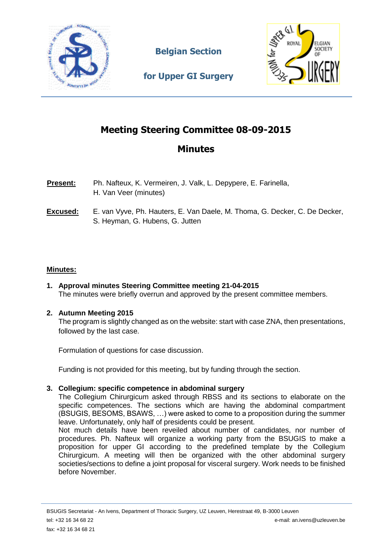

**Belgian Section** 



**for Upper GI Surgery**

# **Meeting Steering Committee 08-09-2015**

## **Minutes**

- **Present:** Ph. Nafteux, K. Vermeiren, J. Valk, L. Depypere, E. Farinella, H. Van Veer (minutes)
- **Excused:** E. van Vyve, Ph. Hauters, E. Van Daele, M. Thoma, G. Decker, C. De Decker, S. Heyman, G. Hubens, G. Jutten

### **Minutes:**

**1. Approval minutes Steering Committee meeting 21-04-2015** The minutes were briefly overrun and approved by the present committee members.

### **2. Autumn Meeting 2015**

The program is slightly changed as on the website: start with case ZNA, then presentations, followed by the last case.

Formulation of questions for case discussion.

Funding is not provided for this meeting, but by funding through the section.

#### **3. Collegium: specific competence in abdominal surgery**

The Collegium Chirurgicum asked through RBSS and its sections to elaborate on the specific competences. The sections which are having the abdominal compartment (BSUGIS, BESOMS, BSAWS, …) were asked to come to a proposition during the summer leave. Unfortunately, only half of presidents could be present.

Not much details have been reveiled about number of candidates, nor number of procedures. Ph. Nafteux will organize a working party from the BSUGIS to make a proposition for upper GI according to the predefined template by the Collegium Chirurgicum. A meeting will then be organized with the other abdominal surgery societies/sections to define a joint proposal for visceral surgery. Work needs to be finished before November.